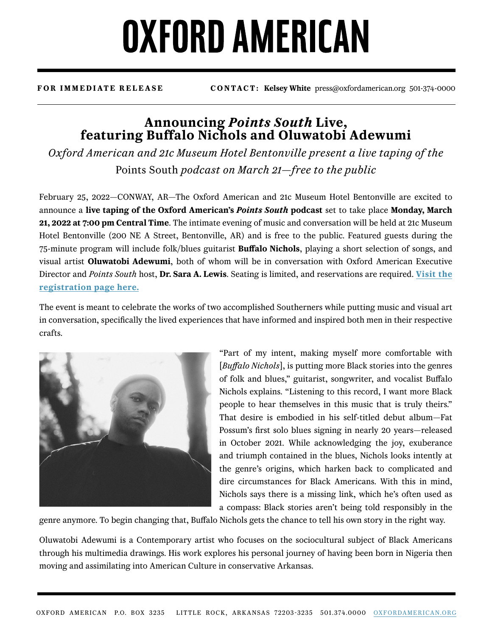## **OXFORD AMERICAN**

**FOR IMMEDIATE RELEASE CONTACT: Kelsey White** press@oxfordamerican.org 501-374-0000

### **Announcing** *Points South* **Live, featuring Buffalo Nichols and Oluwatobi Adewumi**

*Oxford American and 21c Museum Hotel Bentonville present a live taping of the*  Points South *podcast on March 21—free to the public*

February 25, 2022—CONWAY, AR—The Oxford American and 21c Museum Hotel Bentonville are excited to announce a **live taping of the Oxford American's** *Points South* **podcast** set to take place **Monday, March 21, 2022 at 7:00 pm Central Time**. The intimate evening of music and conversation will be held at 21c Museum Hotel Bentonville (200 NE A Street, Bentonville, AR) and is free to the public. Featured guests during the 75-minute program will include folk/blues guitarist **Buffalo Nichols**, playing a short selection of songs, and visual artist **Oluwatobi Adewumi**, both of whom will be in conversation with Oxford American Executive Director and *Points South* host, **Dr. Sara A. Lewis**. Seating is limited, and reservations are required. **[Visit the](https://www.eventbrite.com/e/points-south-live-bentonville-tickets-275743274557) [registration page here.](https://www.eventbrite.com/e/points-south-live-bentonville-tickets-275743274557)**

The event is meant to celebrate the works of two accomplished Southerners while putting music and visual art in conversation, specifically the lived experiences that have informed and inspired both men in their respective crafts.



"Part of my intent, making myself more comfortable with [*Buffalo Nichols*], is putting more Black stories into the genres of folk and blues," guitarist, songwriter, and vocalist Buffalo Nichols explains. "Listening to this record, I want more Black people to hear themselves in this music that is truly theirs." That desire is embodied in his self-titled debut album—Fat Possum's first solo blues signing in nearly 20 years—released in October 2021. While acknowledging the joy, exuberance and triumph contained in the blues, Nichols looks intently at the genre's origins, which harken back to complicated and dire circumstances for Black Americans. With this in mind, Nichols says there is a missing link, which he's often used as a compass: Black stories aren't being told responsibly in the

genre anymore. To begin changing that, Buffalo Nichols gets the chance to tell his own story in the right way.

Oluwatobi Adewumi is a Contemporary artist who focuses on the sociocultural subject of Black Americans through his multimedia drawings. His work explores his personal journey of having been born in Nigeria then moving and assimilating into American Culture in conservative Arkansas.